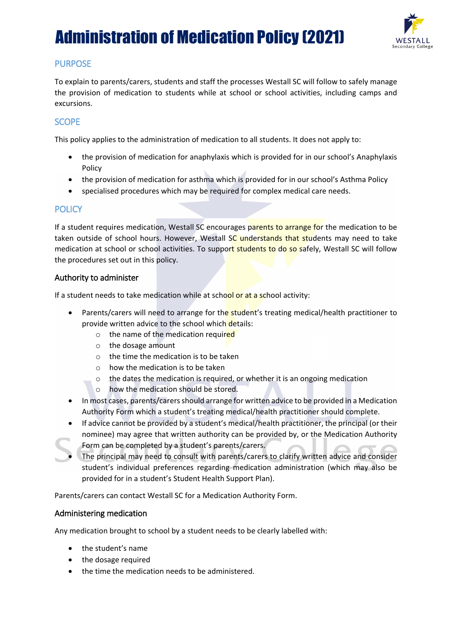# Administration of Medication Policy (2021)



## PURPOSE

To explain to parents/carers, students and staff the processes Westall SC will follow to safely manage the provision of medication to students while at school or school activities, including camps and excursions.

## **SCOPE**

This policy applies to the administration of medication to all students. It does not apply to:

- the provision of medication for anaphylaxis which is provided for in our school's Anaphylaxis Policy
- the provision of medication for asthma which is provided for in our school's Asthma Policy
- specialised procedures which may be required for complex medical care needs.

### **POLICY**

If a student requires medication, Westall SC encourages parents to arrange for the medication to be taken outside of school hours. However, Westall SC understands that students may need to take medication at school or school activities. To support students to do so safely, Westall SC will follow the procedures set out in this policy.

#### Authority to administer

If a student needs to take medication while at school or at a school activity:

- Parents/carers will need to arrange for the student's treating medical/health practitioner to provide written advice to the school which details:
	- o the name of the medication required
	- o the dosage amount
	- o the time the medication is to be taken
	- o how the medication is to be taken
	- o the dates the medication is required, or whether it is an ongoing medication
	- o how the medication should be stored.
- In most cases, parents/carers should arrange for written advice to be provided in a Medication Authority Form which a student's treating medical/health practitioner should complete.
- If advice cannot be provided by a student's medical/health practitioner, the principal (or their nominee) may agree that written authority can be provided by, or the Medication Authority Form can be completed by a student's parents/carers.
- The principal may need to consult with parents/carers to clarify written advice and consider student's individual preferences regarding medication administration (which may also be provided for in a student's Student Health Support Plan).

Parents/carers can contact Westall SC for a Medication Authority Form.

#### Administering medication

Any medication brought to school by a student needs to be clearly labelled with:

- the student's name
- the dosage required
- the time the medication needs to be administered.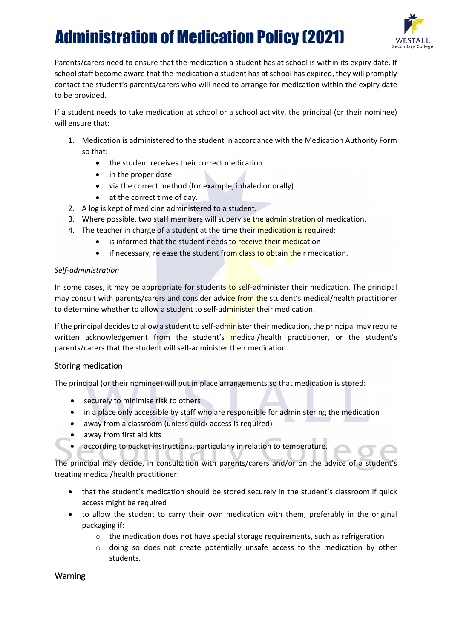# Administration of Medication Policy (2021)



Parents/carers need to ensure that the medication a student has at school is within its expiry date. If school staff become aware that the medication a student has at school has expired, they will promptly contact the student's parents/carers who will need to arrange for medication within the expiry date to be provided.

If a student needs to take medication at school or a school activity, the principal (or their nominee) will ensure that:

- 1. Medication is administered to the student in accordance with the Medication Authority Form so that:
	- the student receives their correct medication
	- in the proper dose
	- via the correct method (for example, inhaled or orally)
	- at the correct time of day.
- 2. A log is kept of medicine administered to a student.
- 3. Where possible, two staff members will supervise the administration of medication.
- 4. The teacher in charge of a student at the time their medication is required:
	- is informed that the student needs to receive their medication
	- if necessary, release the student from class to obtain their medication.

#### *Self-administration*

In some cases, it may be appropriate for students to self-administer their medication. The principal may consult with parents/carers and consider advice from the student's medical/health practitioner to determine whether to allow a student to self-administer their medication.

If the principal decides to allow a student to self-administer their medication, the principal may require written acknowledgement from the student's medical/health practitioner, or the student's parents/carers that the student will self-administer their medication.

#### Storing medication

The principal (or their nominee) will put in place arrangements so that medication is stored:

- securely to minimise risk to others
- in a place only accessible by staff who are responsible for administering the medication
- away from a classroom (unless quick access is required)
- away from first aid kits
- according to packet instructions, particularly in relation to temperature.

The principal may decide, in consultation with parents/carers and/or on the advice of a student's treating medical/health practitioner:

- that the student's medication should be stored securely in the student's classroom if quick access might be required
- to allow the student to carry their own medication with them, preferably in the original packaging if:
	- o the medication does not have special storage requirements, such as refrigeration
	- o doing so does not create potentially unsafe access to the medication by other students.

#### Warning